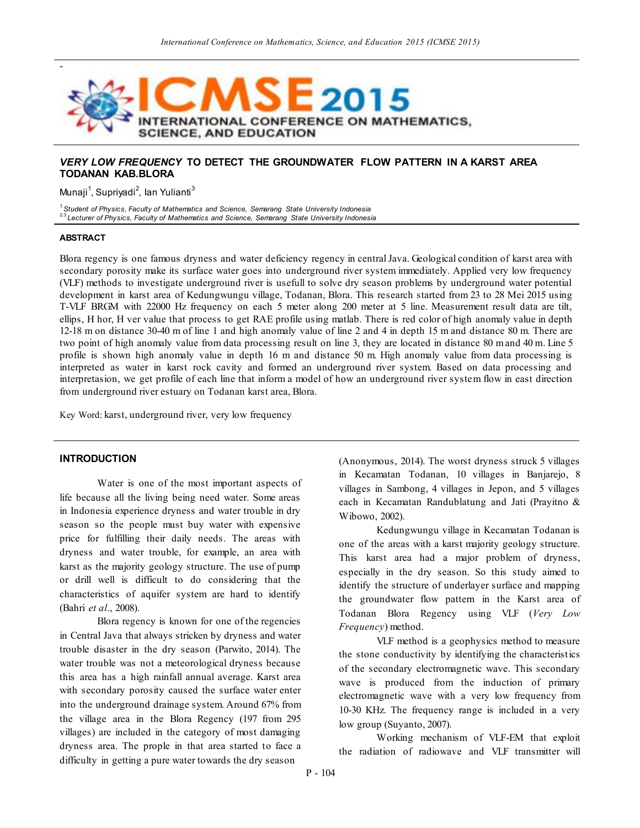

# *VERY LOW FREQUENCY* **TO DETECT THE GROUNDWATER FLOW PATTERN IN A KARST AREA TODANAN KAB.BLORA**

Munaji<sup>1</sup>, Supriyadi<sup>2</sup>, lan Yulianti<sup>3</sup>

*1.Student of Physics, Faculty of Mathematics and Science, Semarang State University Indonesia 2,3. Lecturer of Physics, Faculty of Mathematics and Science, Semarang State University Indonesia*

### **ABSTRACT**

Blora regency is one famous dryness and water deficiency regency in central Java. Geological condition of karst area with secondary porosity make its surface water goes into underground river system immediately. Applied very low frequency (VLF) methods to investigate underground river is usefull to solve dry season problems by underground water potential development in karst area of Kedungwungu village, Todanan, Blora. This research started from 23 to 28 Mei 2015 using T-VLF BRGM with 22000 Hz frequency on each 5 meter along 200 meter at 5 line. Measurement result data are tilt, ellips, H hor, H ver value that process to get RAE profile using matlab. There is red color of high anomaly value in depth 12-18 m on distance 30-40 m of line 1 and high anomaly value of line 2 and 4 in depth 15 m and distance 80 m. There are two point of high anomaly value from data processing result on line 3, they are located in distance 80 m and 40 m. Line 5 profile is shown high anomaly value in depth 16 m and distance 50 m. High anomaly value from data processing is interpreted as water in karst rock cavity and formed an underground river system. Based on data processing and interpretasion, we get profile of each line that inform a model of how an underground river system flow in east direction from underground river estuary on Todanan karst area, Blora.

Key Word: karst, underground river, very low frequency

## **INTRODUCTION**

Water is one of the most important aspects of life because all the living being need water. Some areas in Indonesia experience dryness and water trouble in dry season so the people must buy water with expensive price for fulfilling their daily needs. The areas with dryness and water trouble, for example, an area with karst as the majority geology structure. The use of pump or drill well is difficult to do considering that the characteristics of aquifer system are hard to identify (Bahri *et al*., 2008).

Blora regency is known for one of the regencies in Central Java that always stricken by dryness and water trouble disaster in the dry season (Parwito, 2014). The water trouble was not a meteorological dryness because this area has a high rainfall annual average. Karst area with secondary porosity caused the surface water enter into the underground drainage system. Around 67% from the village area in the Blora Regency (197 from 295 villages) are included in the category of most damaging dryness area. The prople in that area started to face a difficulty in getting a pure water towards the dry season

(Anonymous, 2014). The worst dryness struck 5 villages in Kecamatan Todanan, 10 villages in Banjarejo, 8 villages in Sambong, 4 villages in Jepon, and 5 villages each in Kecamatan Randublatung and Jati (Prayitno & Wibowo, 2002).

Kedungwungu village in Kecamatan Todanan is one of the areas with a karst majority geology structure. This karst area had a major problem of dryness, especially in the dry season. So this study aimed to identify the structure of underlayer surface and mapping the groundwater flow pattern in the Karst area of Todanan Blora Regency using VLF (*Very Low Frequency*) method.

VLF method is a geophysics method to measure the stone conductivity by identifying the characteristics of the secondary electromagnetic wave. This secondary wave is produced from the induction of primary electromagnetic wave with a very low frequency from 10-30 KHz. The frequency range is included in a very low group (Suyanto, 2007).

Working mechanism of VLF-EM that exploit the radiation of radiowave and VLF transmitter will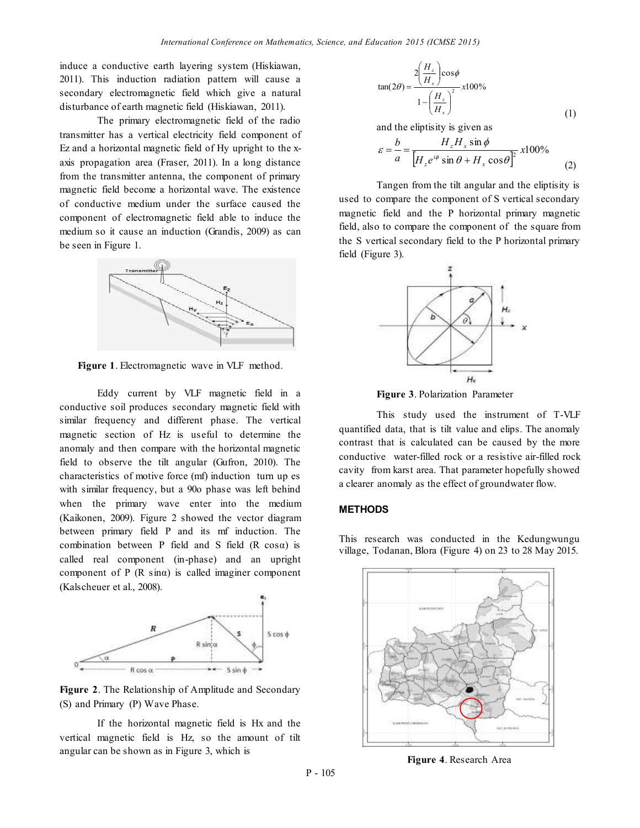induce a conductive earth layering system (Hiskiawan, 2011). This induction radiation pattern will cause a secondary electromagnetic field which give a natural disturbance of earth magnetic field (Hiskiawan, 2011).

The primary electromagnetic field of the radio transmitter has a vertical electricity field component of Ez and a horizontal magnetic field of Hy upright to the xaxis propagation area (Fraser, 2011). In a long distance from the transmitter antenna, the component of primary magnetic field become a horizontal wave. The existence of conductive medium under the surface caused the component of electromagnetic field able to induce the medium so it cause an induction (Grandis, 2009) as can be seen in Figure 1.



**Figure 1**. Electromagnetic wave in VLF method.

Eddy current by VLF magnetic field in a conductive soil produces secondary magnetic field with similar frequency and different phase. The vertical magnetic section of Hz is useful to determine the anomaly and then compare with the horizontal magnetic field to observe the tilt angular (Gufron, 2010). The characteristics of motive force (mf) induction turn up es with similar frequency, but a 90o phase was left behind when the primary wave enter into the medium (Kaikonen, 2009). Figure 2 showed the vector diagram between primary field P and its mf induction. The combination between P field and S field (R cosα) is called real component (in-phase) and an upright component of P (R sinα) is called imaginer component (Kalscheuer et al., 2008).



**Figure 2**. The Relationship of Amplitude and Secondary (S) and Primary (P) Wave Phase.

If the horizontal magnetic field is Hx and the vertical magnetic field is Hz, so the amount of tilt angular can be shown as in Figure 3, which is

$$
\tan(2\theta) = \frac{2\left(\frac{H_z}{H_x}\right)\cos\phi}{1 - \left(\frac{H_z}{H_x}\right)^2} \times 100\%
$$
\n(1)

and the eliptisity is given as

$$
\varepsilon = \frac{b}{a} = \frac{H_z H_x \sin \phi}{\left[H_z e^{i\phi} \sin \theta + H_x \cos \theta\right]^2} x 100\%
$$
 (2)

Tangen from the tilt angular and the eliptisity is used to compare the component of S vertical secondary magnetic field and the P horizontal primary magnetic field, also to compare the component of the square from the S vertical secondary field to the P horizontal primary field (Figure 3).



**Figure 3**. Polarization Parameter

This study used the instrument of T-VLF quantified data, that is tilt value and elips. The anomaly contrast that is calculated can be caused by the more conductive water-filled rock or a resistive air-filled rock cavity from karst area. That parameter hopefully showed a clearer anomaly as the effect of groundwater flow.

#### **METHODS**

This research was conducted in the Kedungwungu village, Todanan, Blora (Figure 4) on 23 to 28 May 2015.



**Figure 4**. Research Area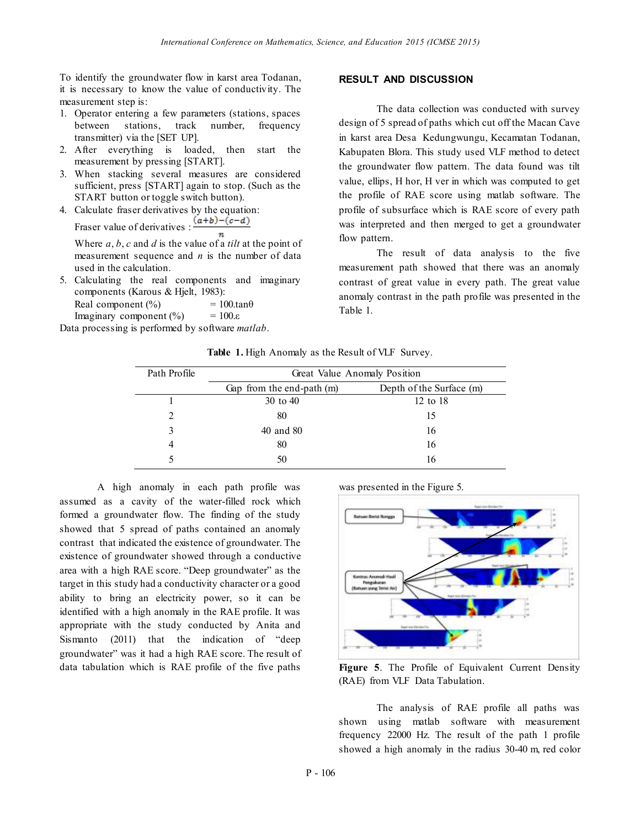To identify the groundwater flow in karst area Todanan, it is necessary to know the value of conductivity. The measurement step is:

- 1. Operator entering a few parameters (stations, spaces between stations, track number, frequency transmitter) via the [SET UP].
- 2. After everything is loaded, then start the measurement by pressing [START].
- 3. When stacking several measures are considered sufficient, press [START] again to stop. (Such as the START button or toggle switch button).
- 4. Calculate fraser derivatives by the equation: Fraser value of derivatives  $\frac{(a+b)-(c-d)}{a+b}$

Where *a*, *b*, *c* and *d* is the value of a *tilt* at the point of measurement sequence and *n* is the number of data used in the calculation.

5. Calculating the real components and imaginary components (Karous & Hjelt, 1983): Real component  $\binom{0}{0}$  = 100.tan $\theta$ Imaginary component  $(\% )$  = 100. $\varepsilon$ 

Data processing is performed by software *matlab*.

### **RESULT AND DISCUSSION**

The data collection was conducted with survey design of 5 spread of paths which cut off the Macan Cave in karst area Desa Kedungwungu, Kecamatan Todanan, Kabupaten Blora. This study used VLF method to detect the groundwater flow pattern. The data found was tilt value, ellips, H hor, H ver in which was computed to get the profile of RAE score using matlab software. The profile of subsurface which is RAE score of every path was interpreted and then merged to get a groundwater flow pattern.

The result of data analysis to the five measurement path showed that there was an anomaly contrast of great value in every path. The great value anomaly contrast in the path profile was presented in the Table 1.

**Table 1.** High Anomaly as the Result of VLF Survey.

| Path Profile                | Great Value Anomaly Position |                          |
|-----------------------------|------------------------------|--------------------------|
|                             | Gap from the end-path (m)    | Depth of the Surface (m) |
|                             | 30 to 40                     | 12 to 18                 |
| $\mathcal{D}_{\mathcal{L}}$ | 80                           | 15                       |
| 3                           | 40 and 80                    | 16                       |
| 4                           | 80                           | 16                       |
|                             | 50                           | 16                       |
|                             |                              |                          |

A high anomaly in each path profile was assumed as a cavity of the water-filled rock which formed a groundwater flow. The finding of the study showed that 5 spread of paths contained an anomaly contrast that indicated the existence of groundwater. The existence of groundwater showed through a conductive area with a high RAE score. "Deep groundwater" as the target in this study had a conductivity character or a good ability to bring an electricity power, so it can be identified with a high anomaly in the RAE profile. It was appropriate with the study conducted by Anita and Sismanto (2011) that the indication of "deep groundwater" was it had a high RAE score. The result of data tabulation which is RAE profile of the five paths

was presented in the Figure 5.



**Figure 5**. The Profile of Equivalent Current Density (RAE) from VLF Data Tabulation.

The analysis of RAE profile all paths was shown using matlab software with measurement frequency 22000 Hz. The result of the path 1 profile showed a high anomaly in the radius 30-40 m, red color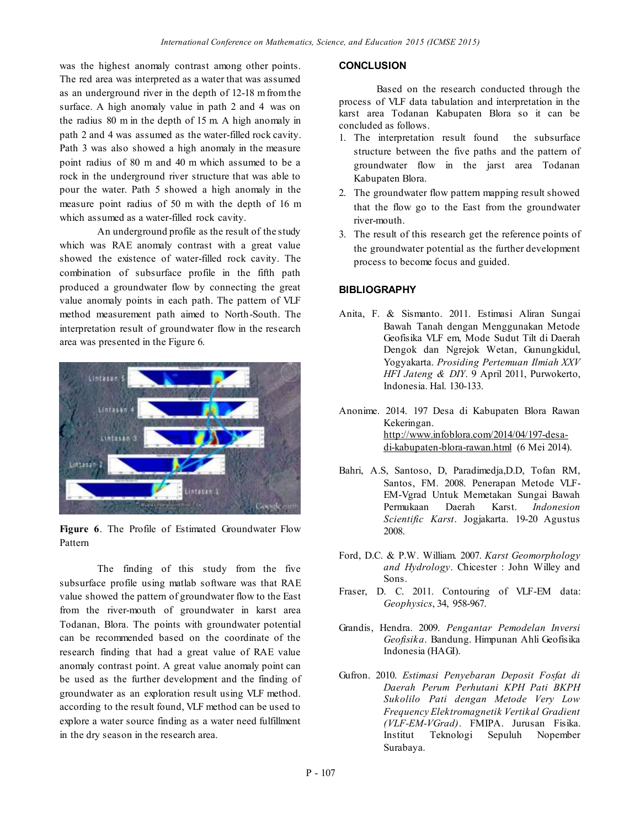was the highest anomaly contrast among other points. The red area was interpreted as a water that was assumed as an underground river in the depth of 12-18 m from the surface. A high anomaly value in path 2 and 4 was on the radius 80 m in the depth of 15 m. A high anomaly in path 2 and 4 was assumed as the water-filled rock cavity. Path 3 was also showed a high anomaly in the measure point radius of 80 m and 40 m which assumed to be a rock in the underground river structure that was able to pour the water. Path 5 showed a high anomaly in the measure point radius of 50 m with the depth of 16 m which assumed as a water-filled rock cavity.

An underground profile as the result of the study which was RAE anomaly contrast with a great value showed the existence of water-filled rock cavity. The combination of subsurface profile in the fifth path produced a groundwater flow by connecting the great value anomaly points in each path. The pattern of VLF method measurement path aimed to North-South. The interpretation result of groundwater flow in the research area was presented in the Figure 6.



**Figure 6**. The Profile of Estimated Groundwater Flow Pattern

The finding of this study from the five subsurface profile using matlab software was that RAE value showed the pattern of groundwater flow to the East from the river-mouth of groundwater in karst area Todanan, Blora. The points with groundwater potential can be recommended based on the coordinate of the research finding that had a great value of RAE value anomaly contrast point. A great value anomaly point can be used as the further development and the finding of groundwater as an exploration result using VLF method. according to the result found, VLF method can be used to explore a water source finding as a water need fulfillment in the dry season in the research area.

### **CONCLUSION**

Based on the research conducted through the process of VLF data tabulation and interpretation in the karst area Todanan Kabupaten Blora so it can be concluded as follows.

- 1. The interpretation result found the subsurface structure between the five paths and the pattern of groundwater flow in the jarst area Todanan Kabupaten Blora.
- 2. The groundwater flow pattern mapping result showed that the flow go to the East from the groundwater river-mouth.
- 3. The result of this research get the reference points of the groundwater potential as the further development process to become focus and guided.

### **BIBLIOGRAPHY**

- Anita, F. & Sismanto. 2011. Estimasi Aliran Sungai Bawah Tanah dengan Menggunakan Metode Geofisika VLF em, Mode Sudut Tilt di Daerah Dengok dan Ngrejok Wetan, Gunungkidul, Yogyakarta. *Prosiding Pertemuan Ilmiah XXV HFI Jateng & DIY*. 9 April 2011, Purwokerto, Indonesia. Hal. 130-133.
- Anonime. 2014. 197 Desa di Kabupaten Blora Rawan Kekeringan. http://www.infoblora.com/2014/04/197-desadi-kabupaten-blora-rawan.html (6 Mei 2014).
- Bahri, A.S, Santoso, D, Paradimedja,D.D, Tofan RM, Santos, FM. 2008. Penerapan Metode VLF-EM-Vgrad Untuk Memetakan Sungai Bawah Permukaan Daerah Karst. *Indonesion Scientific Karst*. Jogjakarta. 19-20 Agustus 2008.
- Ford, D.C. & P.W. William. 2007. *Karst Geomorphology and Hydrology*. Chicester : John Willey and Sons.
- Fraser, D. C. 2011. Contouring of VLF-EM data: *Geophysics*, 34, 958-967.
- Grandis, Hendra. 2009. *Pengantar Pemodelan Inversi Geofisika*. Bandung. Himpunan Ahli Geofisika Indonesia (HAGI).
- Gufron. 2010. *Estimasi Penyebaran Deposit Fosfat di Daerah Perum Perhutani KPH Pati BKPH Sukolilo Pati dengan Metode Very Low Frequency Elektromagnetik Vertikal Gradient (VLF-EM-VGrad)*. FMIPA. Jurusan Fisika. Institut Teknologi Sepuluh Nopember Surabaya.